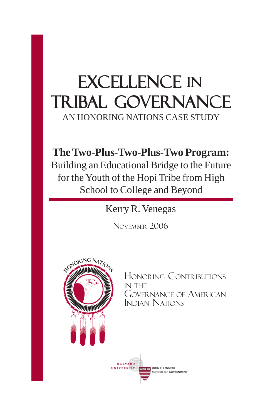# EXCELLENCE IN Tribal Governance

AN HONORING NATIONS CASE STUDY

# **The Two-Plus-Two-Plus-Two Program:**

Building an Educational Bridge to the Future for the Youth of the Hopi Tribe from High School to College and Beyond

Kerry R. Venegas

NOVEMBER 2006



HONORING CONTRIBUTIONS IN THE GOVERNANCE OF AMERICAN INDIAN NATIONS

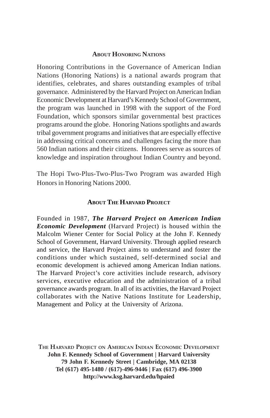#### **ABOUT HONORING NATIONS**

Honoring Contributions in the Governance of American Indian Nations (Honoring Nations) is a national awards program that identifies, celebrates, and shares outstanding examples of tribal governance. Administered by the Harvard Project on American Indian Economic Development at Harvard's Kennedy School of Government, the program was launched in 1998 with the support of the Ford Foundation, which sponsors similar governmental best practices programs around the globe. Honoring Nations spotlights and awards tribal government programs and initiatives that are especially effective in addressing critical concerns and challenges facing the more than 560 Indian nations and their citizens. Honorees serve as sources of knowledge and inspiration throughout Indian Country and beyond.

The Hopi Two-Plus-Two-Plus-Two Program was awarded High Honors in Honoring Nations 2000.

#### **ABOUT THE HARVARD PROJECT**

Founded in 1987, *The Harvard Project on American Indian Economic Development* (Harvard Project) is housed within the Malcolm Wiener Center for Social Policy at the John F. Kennedy School of Government, Harvard University. Through applied research and service, the Harvard Project aims to understand and foster the conditions under which sustained, self-determined social and economic development is achieved among American Indian nations. The Harvard Project's core activities include research, advisory services, executive education and the administration of a tribal governance awards program. In all of its activities, the Harvard Project collaborates with the Native Nations Institute for Leadership, Management and Policy at the University of Arizona.

**THE HARVARD PROJECT ON AMERICAN INDIAN ECONOMIC DEVELOPMENT John F. Kennedy School of Government | Harvard University 79 John F. Kennedy Street | Cambridge, MA 02138 Tel (617) 495-1480 / (617)-496-9446 | Fax (617) 496-3900 http://www.ksg.harvard.edu/hpaied**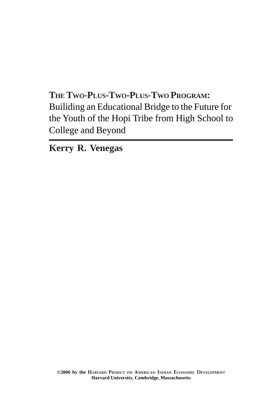**THE TWO-PLUS-TWO-PLUS-TWO PROGRAM:** Builiding an Educational Bridge to the Future for the Youth of the Hopi Tribe from High School to College and Beyond

**Kerry R. Venegas**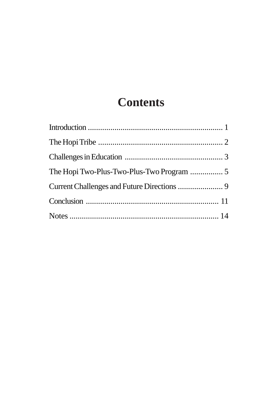# **Contents**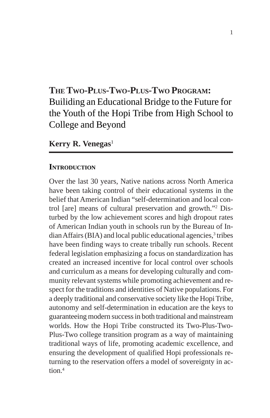## **THE TWO-PLUS-TWO-PLUS-TWO PROGRAM:** Builiding an Educational Bridge to the Future for the Youth of the Hopi Tribe from High School to College and Beyond

#### **Kerry R. Venegas**<sup>1</sup>

#### **INTRODUCTION**

Over the last 30 years, Native nations across North America have been taking control of their educational systems in the belief that American Indian "self-determination and local control [are] means of cultural preservation and growth."2 Disturbed by the low achievement scores and high dropout rates of American Indian youth in schools run by the Bureau of Indian Affairs (BIA) and local public educational agencies,<sup>3</sup> tribes have been finding ways to create tribally run schools. Recent federal legislation emphasizing a focus on standardization has created an increased incentive for local control over schools and curriculum as a means for developing culturally and community relevant systems while promoting achievement and respect for the traditions and identities of Native populations. For a deeply traditional and conservative society like the Hopi Tribe, autonomy and self-determination in education are the keys to guaranteeing modern success in both traditional and mainstream worlds. How the Hopi Tribe constructed its Two-Plus-Two-Plus-Two college transition program as a way of maintaining traditional ways of life, promoting academic excellence, and ensuring the development of qualified Hopi professionals returning to the reservation offers a model of sovereignty in action $4$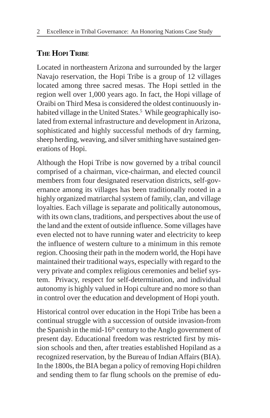## **THE HOPI TRIBE**

Located in northeastern Arizona and surrounded by the larger Navajo reservation, the Hopi Tribe is a group of 12 villages located among three sacred mesas. The Hopi settled in the region well over 1,000 years ago. In fact, the Hopi village of Oraibi on Third Mesa is considered the oldest continuously inhabited village in the United States.<sup>5</sup> While geographically isolated from external infrastructure and development in Arizona, sophisticated and highly successful methods of dry farming, sheep herding, weaving, and silver smithing have sustained generations of Hopi.

Although the Hopi Tribe is now governed by a tribal council comprised of a chairman, vice-chairman, and elected council members from four designated reservation districts, self-governance among its villages has been traditionally rooted in a highly organized matriarchal system of family, clan, and village loyalties. Each village is separate and politically autonomous, with its own clans, traditions, and perspectives about the use of the land and the extent of outside influence. Some villages have even elected not to have running water and electricity to keep the influence of western culture to a minimum in this remote region. Choosing their path in the modern world, the Hopi have maintained their traditional ways, especially with regard to the very private and complex religious ceremonies and belief system. Privacy, respect for self-determination, and individual autonomy is highly valued in Hopi culture and no more so than in control over the education and development of Hopi youth.

Historical control over education in the Hopi Tribe has been a continual struggle with a succession of outside invasion-from the Spanish in the mid-16th century to the Anglo government of present day. Educational freedom was restricted first by mission schools and then, after treaties established Hopiland as a recognized reservation, by the Bureau of Indian Affairs (BIA). In the 1800s, the BIA began a policy of removing Hopi children and sending them to far flung schools on the premise of edu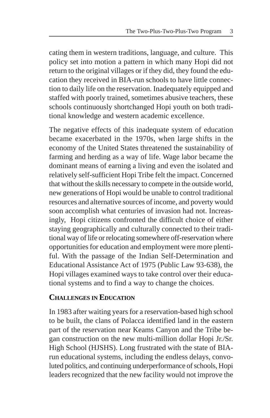cating them in western traditions, language, and culture. This policy set into motion a pattern in which many Hopi did not return to the original villages or if they did, they found the education they received in BIA-run schools to have little connection to daily life on the reservation. Inadequately equipped and staffed with poorly trained, sometimes abusive teachers, these schools continuously shortchanged Hopi youth on both traditional knowledge and western academic excellence.

The negative effects of this inadequate system of education became exacerbated in the 1970s, when large shifts in the economy of the United States threatened the sustainability of farming and herding as a way of life. Wage labor became the dominant means of earning a living and even the isolated and relatively self-sufficient Hopi Tribe felt the impact. Concerned that without the skills necessary to compete in the outside world, new generations of Hopi would be unable to control traditional resources and alternative sources of income, and poverty would soon accomplish what centuries of invasion had not. Increasingly, Hopi citizens confronted the difficult choice of either staying geographically and culturally connected to their traditional way of life or relocating somewhere off-reservation where opportunities for education and employment were more plentiful. With the passage of the Indian Self-Determination and Educational Assistance Act of 1975 (Public Law 93-638), the Hopi villages examined ways to take control over their educational systems and to find a way to change the choices.

#### **CHALLENGES IN EDUCATION**

In 1983 after waiting years for a reservation-based high school to be built, the clans of Polacca identified land in the eastern part of the reservation near Keams Canyon and the Tribe began construction on the new multi-million dollar Hopi Jr./Sr. High School (HJSHS). Long frustrated with the state of BIArun educational systems, including the endless delays, convoluted politics, and continuing underperformance of schools, Hopi leaders recognized that the new facility would not improve the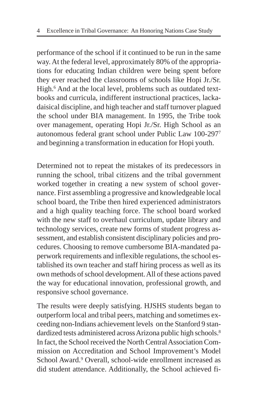performance of the school if it continued to be run in the same way. At the federal level, approximately 80% of the appropriations for educating Indian children were being spent before they ever reached the classrooms of schools like Hopi Jr./Sr. High.<sup>6</sup> And at the local level, problems such as outdated textbooks and curricula, indifferent instructional practices, lackadaisical discipline, and high teacher and staff turnover plagued the school under BIA management. In 1995, the Tribe took over management, operating Hopi Jr./Sr. High School as an autonomous federal grant school under Public Law 100-2977 and beginning a transformation in education for Hopi youth.

Determined not to repeat the mistakes of its predecessors in running the school, tribal citizens and the tribal government worked together in creating a new system of school governance. First assembling a progressive and knowledgeable local school board, the Tribe then hired experienced administrators and a high quality teaching force. The school board worked with the new staff to overhaul curriculum, update library and technology services, create new forms of student progress assessment, and establish consistent disciplinary policies and procedures. Choosing to remove cumbersome BIA-mandated paperwork requirements and inflexible regulations, the school established its own teacher and staff hiring process as well as its own methods of school development. All of these actions paved the way for educational innovation, professional growth, and responsive school governance.

The results were deeply satisfying. HJSHS students began to outperform local and tribal peers, matching and sometimes exceeding non-Indians achievement levels on the Stanford 9 standardized tests administered across Arizona public high schools.<sup>8</sup> In fact, the School received the North Central Association Commission on Accreditation and School Improvement's Model School Award.<sup>9</sup> Overall, school-wide enrollment increased as did student attendance. Additionally, the School achieved fi-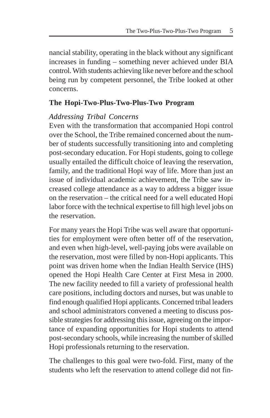nancial stability, operating in the black without any significant increases in funding – something never achieved under BIA control. With students achieving like never before and the school being run by competent personnel, the Tribe looked at other concerns.

#### **The Hopi-Two-Plus-Two-Plus-Two Program**

#### *Addressing Tribal Concerns*

Even with the transformation that accompanied Hopi control over the School, the Tribe remained concerned about the number of students successfully transitioning into and completing post-secondary education. For Hopi students, going to college usually entailed the difficult choice of leaving the reservation, family, and the traditional Hopi way of life. More than just an issue of individual academic achievement, the Tribe saw increased college attendance as a way to address a bigger issue on the reservation – the critical need for a well educated Hopi labor force with the technical expertise to fill high level jobs on the reservation.

For many years the Hopi Tribe was well aware that opportunities for employment were often better off of the reservation, and even when high-level, well-paying jobs were available on the reservation, most were filled by non-Hopi applicants. This point was driven home when the Indian Health Service (IHS) opened the Hopi Health Care Center at First Mesa in 2000. The new facility needed to fill a variety of professional health care positions, including doctors and nurses, but was unable to find enough qualified Hopi applicants. Concerned tribal leaders and school administrators convened a meeting to discuss possible strategies for addressing this issue, agreeing on the importance of expanding opportunities for Hopi students to attend post-secondary schools, while increasing the number of skilled Hopi professionals returning to the reservation.

The challenges to this goal were two-fold. First, many of the students who left the reservation to attend college did not fin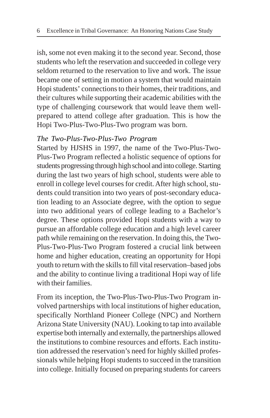ish, some not even making it to the second year. Second, those students who left the reservation and succeeded in college very seldom returned to the reservation to live and work. The issue became one of setting in motion a system that would maintain Hopi students' connections to their homes, their traditions, and their cultures while supporting their academic abilities with the type of challenging coursework that would leave them wellprepared to attend college after graduation. This is how the Hopi Two-Plus-Two-Plus-Two program was born.

#### *The Two-Plus-Two-Plus-Two Program*

Started by HJSHS in 1997, the name of the Two-Plus-Two-Plus-Two Program reflected a holistic sequence of options for students progressing through high school and into college. Starting during the last two years of high school, students were able to enroll in college level courses for credit. After high school, students could transition into two years of post-secondary education leading to an Associate degree, with the option to segue into two additional years of college leading to a Bachelor's degree. These options provided Hopi students with a way to pursue an affordable college education and a high level career path while remaining on the reservation. In doing this, the Two-Plus-Two-Plus-Two Program fostered a crucial link between home and higher education, creating an opportunity for Hopi youth to return with the skills to fill vital reservation–based jobs and the ability to continue living a traditional Hopi way of life with their families.

From its inception, the Two-Plus-Two-Plus-Two Program involved partnerships with local institutions of higher education, specifically Northland Pioneer College (NPC) and Northern Arizona State University (NAU). Looking to tap into available expertise both internally and externally, the partnerships allowed the institutions to combine resources and efforts. Each institution addressed the reservation's need for highly skilled professionals while helping Hopi students to succeed in the transition into college. Initially focused on preparing students for careers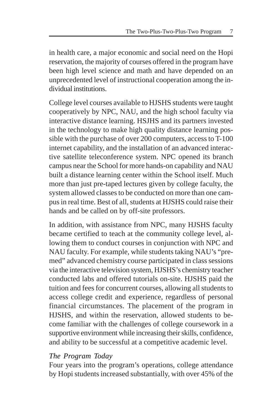in health care, a major economic and social need on the Hopi reservation, the majority of courses offered in the program have been high level science and math and have depended on an unprecedented level of instructional cooperation among the individual institutions.

College level courses available to HJSHS students were taught cooperatively by NPC, NAU, and the high school faculty via interactive distance learning. HSJHS and its partners invested in the technology to make high quality distance learning possible with the purchase of over 200 computers, access to T-100 internet capability, and the installation of an advanced interactive satellite teleconference system. NPC opened its branch campus near the School for more hands-on capability and NAU built a distance learning center within the School itself. Much more than just pre-taped lectures given by college faculty, the system allowed classes to be conducted on more than one campus in real time. Best of all, students at HJSHS could raise their hands and be called on by off-site professors.

In addition, with assistance from NPC, many HJSHS faculty became certified to teach at the community college level, allowing them to conduct courses in conjunction with NPC and NAU faculty. For example, while students taking NAU's "premed" advanced chemistry course participated in class sessions via the interactive television system, HJSHS's chemistry teacher conducted labs and offered tutorials on-site. HJSHS paid the tuition and fees for concurrent courses, allowing all students to access college credit and experience, regardless of personal financial circumstances. The placement of the program in HJSHS, and within the reservation, allowed students to become familiar with the challenges of college coursework in a supportive environment while increasing their skills, confidence, and ability to be successful at a competitive academic level.

#### *The Program Today*

Four years into the program's operations, college attendance by Hopi students increased substantially, with over 45% of the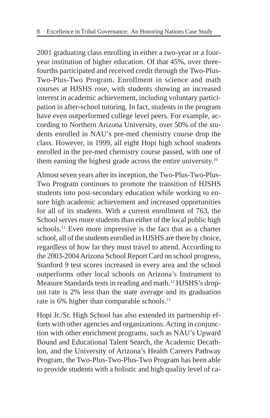2001 graduating class enrolling in either a two-year or a fouryear institution of higher education. Of that 45%, over threefourths participated and received credit through the Two-Plus-Two-Plus-Two Program. Enrollment in science and math courses at HJSHS rose, with students showing an increased interest in academic achievement, including voluntary participation in after-school tutoring. In fact, students in the program have even outperformed college level peers. For example, according to Northern Arizona University, over 50% of the students enrolled in NAU's pre-med chemistry course drop the class. However, in 1999, all eight Hopi high school students enrolled in the pre-med chemistry course passed, with one of them earning the highest grade across the entire university.<sup>10</sup>

Almost seven years after its inception, the Two-Plus-Two-Plus-Two Program continues to promote the transition of HJSHS students into post-secondary education while working to ensure high academic achievement and increased opportunities for all of its students. With a current enrollment of 763, the School serves more students than either of the local public high schools.<sup>11</sup> Even more impressive is the fact that as a charter school, all of the students enrolled in HJSHS are there by choice, regardless of how far they must travel to attend. According to the 2003-2004 Arizona School Report Card on school progress, Stanford 9 test scores increased in every area and the school outperforms other local schools on Arizona's Instrument to Measure Standards tests in reading and math.<sup>12</sup> HJSHS's dropout rate is 2% less than the state average and its graduation rate is 6% higher than comparable schools.<sup>13</sup>

Hopi Jr./Sr. High School has also extended its partnership efforts with other agencies and organizations. Acting in conjunction with other enrichment programs, such as NAU's Upward Bound and Educational Talent Search, the Academic Decathlon, and the University of Arizona's Health Careers Pathway Program, the Two-Plus-Two-Plus-Two Program has been able to provide students with a holistic and high quality level of ca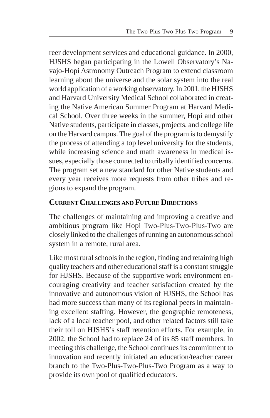reer development services and educational guidance. In 2000, HJSHS began participating in the Lowell Observatory's Navajo-Hopi Astronomy Outreach Program to extend classroom learning about the universe and the solar system into the real world application of a working observatory. In 2001, the HJSHS and Harvard University Medical School collaborated in creating the Native American Summer Program at Harvard Medical School. Over three weeks in the summer, Hopi and other Native students, participate in classes, projects, and college life on the Harvard campus. The goal of the program is to demystify the process of attending a top level university for the students, while increasing science and math awareness in medical issues, especially those connected to tribally identified concerns. The program set a new standard for other Native students and every year receives more requests from other tribes and regions to expand the program.

#### **CURRENT CHALLENGES AND FUTURE DIRECTIONS**

The challenges of maintaining and improving a creative and ambitious program like Hopi Two-Plus-Two-Plus-Two are closely linked to the challenges of running an autonomous school system in a remote, rural area.

Like most rural schools in the region, finding and retaining high quality teachers and other educational staff is a constant struggle for HJSHS. Because of the supportive work environment encouraging creativity and teacher satisfaction created by the innovative and autonomous vision of HJSHS, the School has had more success than many of its regional peers in maintaining excellent staffing. However, the geographic remoteness, lack of a local teacher pool, and other related factors still take their toll on HJSHS's staff retention efforts. For example, in 2002, the School had to replace 24 of its 85 staff members. In meeting this challenge, the School continues its commitment to innovation and recently initiated an education/teacher career branch to the Two-Plus-Two-Plus-Two Program as a way to provide its own pool of qualified educators.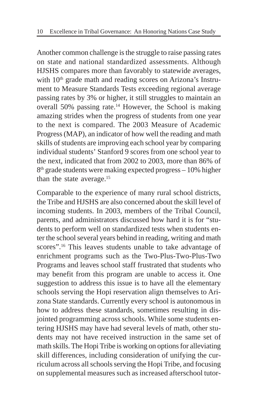Another common challenge is the struggle to raise passing rates on state and national standardized assessments. Although HJSHS compares more than favorably to statewide averages, with  $10<sup>th</sup>$  grade math and reading scores on Arizona's Instrument to Measure Standards Tests exceeding regional average passing rates by 3% or higher, it still struggles to maintain an overall  $50\%$  passing rate.<sup>14</sup> However, the School is making amazing strides when the progress of students from one year to the next is compared. The 2003 Measure of Academic Progress (MAP), an indicator of how well the reading and math skills of students are improving each school year by comparing individual students' Stanford 9 scores from one school year to the next, indicated that from 2002 to 2003, more than 86% of  $8<sup>th</sup>$  grade students were making expected progress – 10% higher than the state average.15

Comparable to the experience of many rural school districts, the Tribe and HJSHS are also concerned about the skill level of incoming students. In 2003, members of the Tribal Council, parents, and administrators discussed how hard it is for "students to perform well on standardized tests when students enter the school several years behind in reading, writing and math scores".<sup>16</sup> This leaves students unable to take advantage of enrichment programs such as the Two-Plus-Two-Plus-Two Programs and leaves school staff frustrated that students who may benefit from this program are unable to access it. One suggestion to address this issue is to have all the elementary schools serving the Hopi reservation align themselves to Arizona State standards. Currently every school is autonomous in how to address these standards, sometimes resulting in disjointed programming across schools. While some students entering HJSHS may have had several levels of math, other students may not have received instruction in the same set of math skills. The Hopi Tribe is working on options for alleviating skill differences, including consideration of unifying the curriculum across all schools serving the Hopi Tribe, and focusing on supplemental measures such as increased afterschool tutor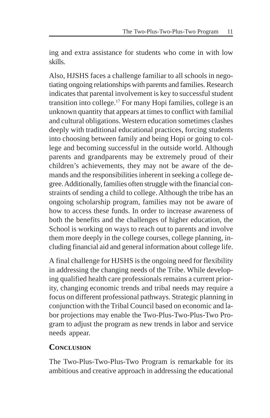ing and extra assistance for students who come in with low skills.

Also, HJSHS faces a challenge familiar to all schools in negotiating ongoing relationships with parents and families. Research indicates that parental involvement is key to successful student transition into college.17 For many Hopi families, college is an unknown quantity that appears at times to conflict with familial and cultural obligations. Western education sometimes clashes deeply with traditional educational practices, forcing students into choosing between family and being Hopi or going to college and becoming successful in the outside world. Although parents and grandparents may be extremely proud of their children's achievements, they may not be aware of the demands and the responsibilities inherent in seeking a college degree. Additionally, families often struggle with the financial constraints of sending a child to college. Although the tribe has an ongoing scholarship program, families may not be aware of how to access these funds. In order to increase awareness of both the benefits and the challenges of higher education, the School is working on ways to reach out to parents and involve them more deeply in the college courses, college planning, including financial aid and general information about college life.

A final challenge for HJSHS is the ongoing need for flexibility in addressing the changing needs of the Tribe. While developing qualified health care professionals remains a current priority, changing economic trends and tribal needs may require a focus on different professional pathways. Strategic planning in conjunction with the Tribal Council based on economic and labor projections may enable the Two-Plus-Two-Plus-Two Program to adjust the program as new trends in labor and service needs appear.

#### **CONCLUSION**

The Two-Plus-Two-Plus-Two Program is remarkable for its ambitious and creative approach in addressing the educational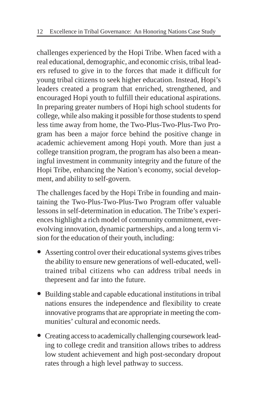challenges experienced by the Hopi Tribe. When faced with a real educational, demographic, and economic crisis, tribal leaders refused to give in to the forces that made it difficult for young tribal citizens to seek higher education. Instead, Hopi's leaders created a program that enriched, strengthened, and encouraged Hopi youth to fulfill their educational aspirations. In preparing greater numbers of Hopi high school students for college, while also making it possible for those students to spend less time away from home, the Two-Plus-Two-Plus-Two Program has been a major force behind the positive change in academic achievement among Hopi youth. More than just a college transition program, the program has also been a meaningful investment in community integrity and the future of the Hopi Tribe, enhancing the Nation's economy, social development, and ability to self-govern.

The challenges faced by the Hopi Tribe in founding and maintaining the Two-Plus-Two-Plus-Two Program offer valuable lessons in self-determination in education. The Tribe's experiences highlight a rich model of community commitment, everevolving innovation, dynamic partnerships, and a long term vision for the education of their youth, including:

- Asserting control over their educational systems gives tribes the ability to ensure new generations of well-educated, welltrained tribal citizens who can address tribal needs in thepresent and far into the future.
- y Building stable and capable educational institutions in tribal nations ensures the independence and flexibility to create innovative programs that are appropriate in meeting the communities' cultural and economic needs.
- Creating access to academically challenging coursework leading to college credit and transition allows tribes to address low student achievement and high post-secondary dropout rates through a high level pathway to success.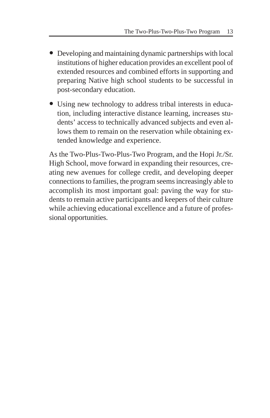- Developing and maintaining dynamic partnerships with local institutions of higher education provides an excellent pool of extended resources and combined efforts in supporting and preparing Native high school students to be successful in post-secondary education.
- Using new technology to address tribal interests in education, including interactive distance learning, increases students' access to technically advanced subjects and even allows them to remain on the reservation while obtaining extended knowledge and experience.

As the Two-Plus-Two-Plus-Two Program, and the Hopi Jr./Sr. High School, move forward in expanding their resources, creating new avenues for college credit, and developing deeper connections to families, the program seems increasingly able to accomplish its most important goal: paving the way for students to remain active participants and keepers of their culture while achieving educational excellence and a future of professional opportunities.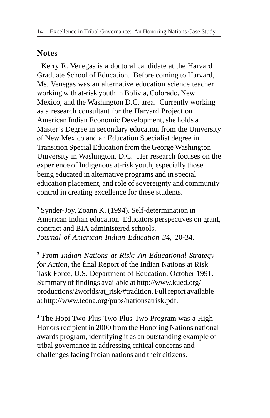### **Notes**

<sup>1</sup> Kerry R. Venegas is a doctoral candidate at the Harvard Graduate School of Education. Before coming to Harvard, Ms. Venegas was an alternative education science teacher working with at-risk youth in Bolivia, Colorado, New Mexico, and the Washington D.C. area. Currently working as a research consultant for the Harvard Project on American Indian Economic Development, she holds a Master's Degree in secondary education from the University of New Mexico and an Education Specialist degree in Transition Special Education from the George Washington University in Washington, D.C. Her research focuses on the experience of Indigenous at-risk youth, especially those being educated in alternative programs and in special education placement, and role of sovereignty and community control in creating excellence for these students.

2 Synder-Joy, Zoann K. (1994). Self-determination in American Indian education: Educators perspectives on grant, contract and BIA administered schools. *Journal of American Indian Education 34*, 20-34.

3 From *Indian Nations at Risk: An Educational Strategy for Action*, the final Report of the Indian Nations at Risk Task Force, U.S. Department of Education, October 1991. Summary of findings available at http://www.kued.org/ productions/2worlds/at\_risk/#tradition. Full report available at http://www.tedna.org/pubs/nationsatrisk.pdf.

4 The Hopi Two-Plus-Two-Plus-Two Program was a High Honors recipient in 2000 from the Honoring Nations national awards program, identifying it as an outstanding example of tribal governance in addressing critical concerns and challenges facing Indian nations and their citizens.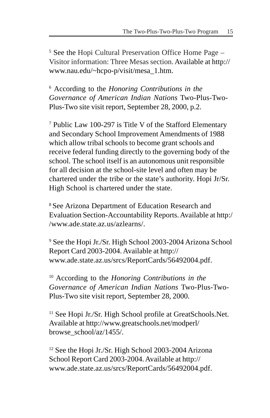<sup>5</sup> See the Hopi Cultural Preservation Office Home Page -Visitor information: Three Mesas section. Available at http:// www.nau.edu/~hcpo-p/visit/mesa\_1.htm.

6 According to the *Honoring Contributions in the Governance of American Indian Nations* Two-Plus-Two-Plus-Two site visit report, September 28, 2000, p.2.

7 Public Law 100-297 is Title V of the Stafford Elementary and Secondary School Improvement Amendments of 1988 which allow tribal schools to become grant schools and receive federal funding directly to the governing body of the school. The school itself is an autonomous unit responsible for all decision at the school-site level and often may be chartered under the tribe or the state's authority. Hopi Jr/Sr. High School is chartered under the state.

8 See Arizona Department of Education Research and Evaluation Section-Accountability Reports. Available at http:/ /www.ade.state.az.us/azlearns/.

<sup>9</sup> See the Hopi Jr./Sr. High School 2003-2004 Arizona School Report Card 2003-2004. Available at http:// www.ade.state.az.us/srcs/ReportCards/56492004.pdf.

10 According to the *Honoring Contributions in the Governance of American Indian Nations* Two-Plus-Two-Plus-Two site visit report, September 28, 2000.

<sup>11</sup> See Hopi Jr./Sr. High School profile at GreatSchools.Net. Available at http://www.greatschools.net/modperl/ browse\_school/az/1455/.

<sup>12</sup> See the Hopi Jr./Sr. High School 2003-2004 Arizona School Report Card 2003-2004. Available at http:// www.ade.state.az.us/srcs/ReportCards/56492004.pdf.